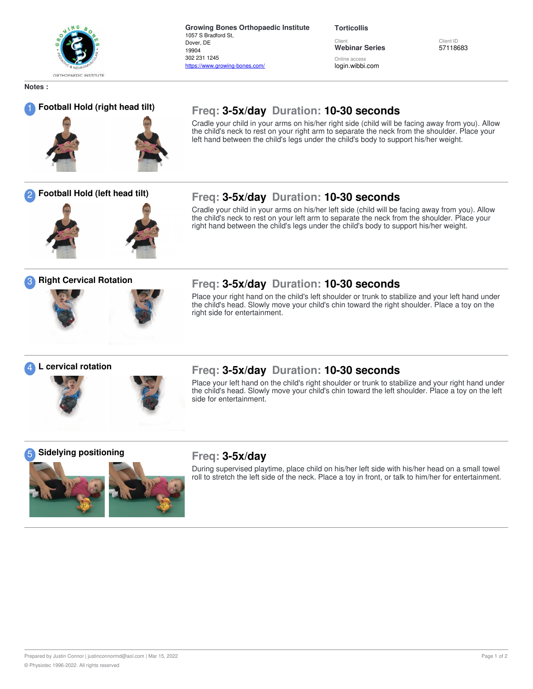

**Growing Bones Orthopaedic Institute** 1057 S Bradford St, Dover, DE 19904 302 231 1245 https://www.growing-bones.com/

**Torticollis**

Client **Webinar Series** Online acces

login.wibbi.com

Client ID 57118683

**Notes :**



## <sup>1</sup> **Football Hold (right head tilt) Freq: 3-5x/day Duration: 10-30 seconds**

Cradle your child in your arms on his/her right side (child will be facing away from you). Allow the child's neck to rest on your right arm to separate the neck from the shoulder. Place your left hand between the child's legs under the child's body to support his/her weight.

Cradle your child in your arms on his/her left side (child will be facing away from you). Allow

### <sup>2</sup> **Football Hold (left head tilt) Freq: 3-5x/day Duration: 10-30 seconds**



#### the child's neck to rest on your left arm to separate the neck from the shoulder. Place your right hand between the child's legs under the child's body to support his/her weight.



### <sup>3</sup> **Right Cervical Rotation Freq: 3-5x/day Duration: 10-30 seconds**

Place your right hand on the child's left shoulder or trunk to stabilize and your left hand under the child's head. Slowly move your child's chin toward the right shoulder. Place a toy on the right side for entertainment.





### <sup>4</sup> **<sup>L</sup> cervical rotation Freq: 3-5x/day Duration: 10-30 seconds**

Place your left hand on the child's right shoulder or trunk to stabilize and your right hand under the child's head. Slowly move your child's chin toward the left shoulder. Place a toy on the left side for entertainment.

### <sup>5</sup> **Sidelying positioning Freq: 3-5x/day**



During supervised playtime, place child on his/her left side with his/her head on a small towel roll to stretch the left side of the neck. Place a toy in front, or talk to him/her for entertainment.